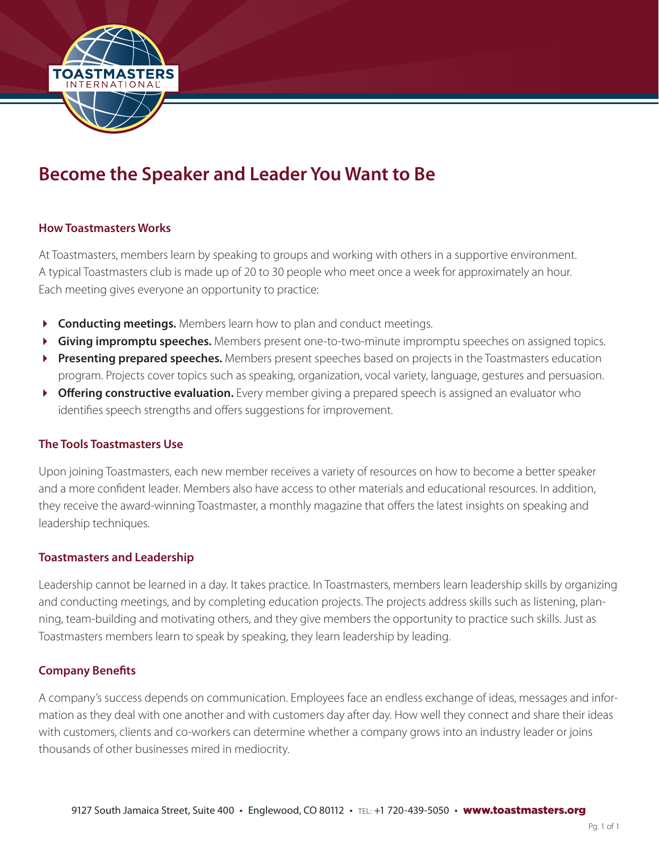

# **Become the Speaker and Leader You Want to Be**

## **How Toastmasters Works**

At Toastmasters, members learn by speaking to groups and working with others in a supportive environment. A typical Toastmasters club is made up of 20 to 30 people who meet once a week for approximately an hour. Each meeting gives everyone an opportunity to practice:

- **Conducting meetings.** Members learn how to plan and conduct meetings.
- **Giving impromptu speeches.** Members present one-to-two-minute impromptu speeches on assigned topics.
- **Presenting prepared speeches.** Members present speeches based on projects in the Toastmasters education program. Projects cover topics such as speaking, organization, vocal variety, language, gestures and persuasion.
- **Cffering constructive evaluation.** Every member giving a prepared speech is assigned an evaluator who identifies speech strengths and offers suggestions for improvement.

## **The Tools Toastmasters Use**

Upon joining Toastmasters, each new member receives a variety of resources on how to become a better speaker and a more confident leader. Members also have access to other materials and educational resources. In addition, they receive the award-winning Toastmaster, a monthly magazine that offers the latest insights on speaking and leadership techniques.

#### **Toastmasters and Leadership**

Leadership cannot be learned in a day. It takes practice. In Toastmasters, members learn leadership skills by organizing and conducting meetings, and by completing education projects. The projects address skills such as listening, planning, team-building and motivating others, and they give members the opportunity to practice such skills. Just as Toastmasters members learn to speak by speaking, they learn leadership by leading.

#### **Company Benefits**

A company's success depends on communication. Employees face an endless exchange of ideas, messages and information as they deal with one another and with customers day after day. How well they connect and share their ideas with customers, clients and co-workers can determine whether a company grows into an industry leader or joins thousands of other businesses mired in mediocrity.